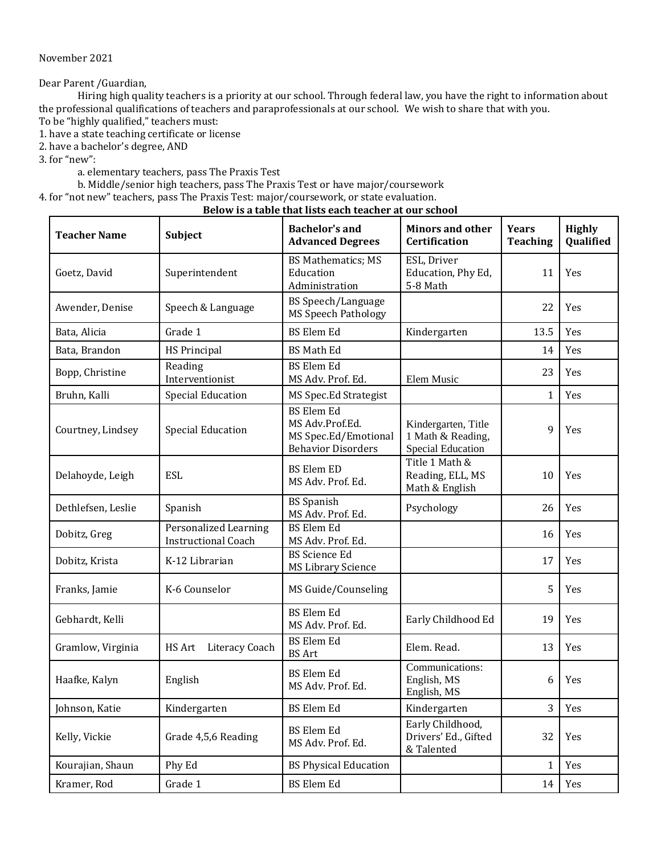November 2021

Dear Parent /Guardian,

Hiring high quality teachers is a priority at our school. Through federal law, you have the right to information about the professional qualifications of teachers and paraprofessionals at our school. We wish to share that with you.

To be "highly qualified," teachers must:

1. have a state teaching certificate or license

2. have a bachelor's degree, AND

3. for "new":

a. elementary teachers, pass The Praxis Test

b. Middle/senior high teachers, pass The Praxis Test or have major/coursework

4. for "not new" teachers, pass The Praxis Test: major/coursework, or state evaluation.

## **Below is a table that lists each teacher at our school**

| <b>Teacher Name</b> | Subject                                             | <b>Bachelor's and</b><br><b>Advanced Degrees</b>                                          | <b>Minors and other</b><br><b>Certification</b>                      | <b>Years</b><br><b>Teaching</b> | <b>Highly</b><br>Qualified |
|---------------------|-----------------------------------------------------|-------------------------------------------------------------------------------------------|----------------------------------------------------------------------|---------------------------------|----------------------------|
| Goetz, David        | Superintendent                                      | <b>BS Mathematics; MS</b><br>Education<br>Administration                                  | ESL, Driver<br>Education, Phy Ed,<br>5-8 Math                        | 11                              | Yes                        |
| Awender, Denise     | Speech & Language                                   | <b>BS</b> Speech/Language<br><b>MS Speech Pathology</b>                                   |                                                                      | 22                              | Yes                        |
| Bata, Alicia        | Grade 1                                             | <b>BS</b> Elem Ed                                                                         | Kindergarten                                                         | 13.5                            | <b>Yes</b>                 |
| Bata, Brandon       | <b>HS Principal</b>                                 | <b>BS Math Ed</b>                                                                         |                                                                      | 14                              | Yes                        |
| Bopp, Christine     | Reading<br>Interventionist                          | <b>BS</b> Elem Ed<br>MS Adv. Prof. Ed.                                                    | Elem Music                                                           | 23                              | Yes                        |
| Bruhn, Kalli        | <b>Special Education</b>                            | MS Spec.Ed Strategist                                                                     |                                                                      | $\mathbf{1}$                    | Yes                        |
| Courtney, Lindsey   | <b>Special Education</b>                            | <b>BS</b> Elem Ed<br>MS Adv.Prof.Ed.<br>MS Spec.Ed/Emotional<br><b>Behavior Disorders</b> | Kindergarten, Title<br>1 Math & Reading,<br><b>Special Education</b> | 9                               | Yes                        |
| Delahoyde, Leigh    | <b>ESL</b>                                          | <b>BS Elem ED</b><br>MS Adv. Prof. Ed.                                                    | Title 1 Math &<br>Reading, ELL, MS<br>Math & English                 | 10                              | Yes                        |
| Dethlefsen, Leslie  | Spanish                                             | <b>BS</b> Spanish<br>MS Adv. Prof. Ed.                                                    | Psychology                                                           | 26                              | Yes                        |
| Dobitz, Greg        | Personalized Learning<br><b>Instructional Coach</b> | <b>BS Elem Ed</b><br>MS Adv. Prof. Ed.                                                    |                                                                      | 16                              | Yes                        |
| Dobitz, Krista      | K-12 Librarian                                      | <b>BS</b> Science Ed<br><b>MS Library Science</b>                                         |                                                                      | 17                              | Yes                        |
| Franks, Jamie       | K-6 Counselor                                       | MS Guide/Counseling                                                                       |                                                                      | 5                               | Yes                        |
| Gebhardt, Kelli     |                                                     | <b>BS</b> Elem Ed<br>MS Adv. Prof. Ed.                                                    | Early Childhood Ed                                                   | 19                              | Yes                        |
| Gramlow, Virginia   | HS Art<br>Literacy Coach                            | <b>BS</b> Elem Ed<br><b>BS</b> Art                                                        | Elem. Read.                                                          | 13                              | Yes                        |
| Haafke, Kalyn       | English                                             | <b>BS</b> Elem Ed<br>MS Adv. Prof. Ed.                                                    | Communications:<br>English, MS<br>English, MS                        | 6                               | Yes                        |
| Johnson, Katie      | Kindergarten                                        | <b>BS</b> Elem Ed                                                                         | Kindergarten                                                         | 3                               | Yes                        |
| Kelly, Vickie       | Grade 4,5,6 Reading                                 | <b>BS</b> Elem Ed<br>MS Adv. Prof. Ed.                                                    | Early Childhood,<br>Drivers' Ed., Gifted<br>& Talented               | 32                              | Yes                        |
| Kourajian, Shaun    | Phy Ed                                              | <b>BS Physical Education</b>                                                              |                                                                      | $\mathbf{1}$                    | Yes                        |
| Kramer, Rod         | Grade 1                                             | <b>BS</b> Elem Ed                                                                         |                                                                      | 14                              | Yes                        |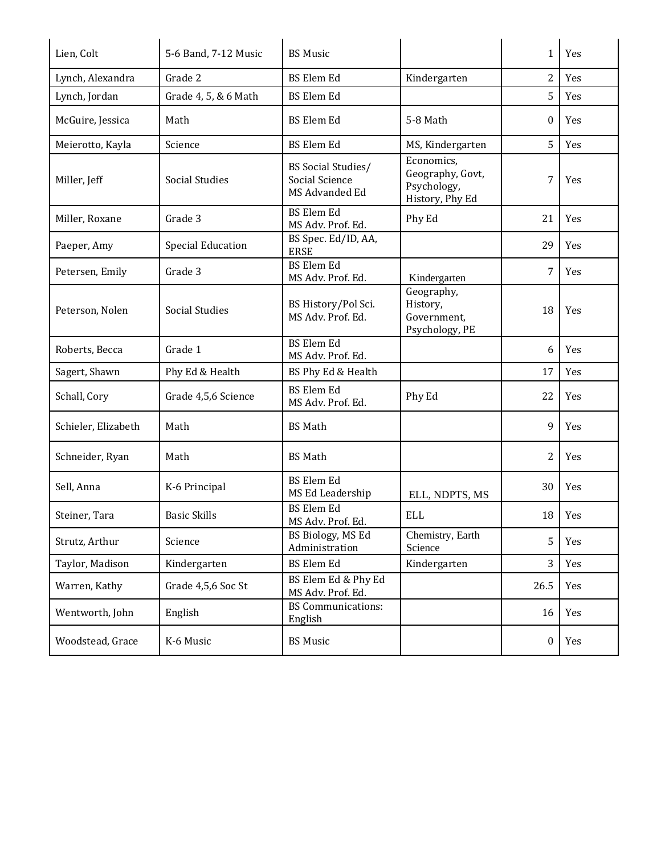| Lien, Colt          | 5-6 Band, 7-12 Music     | <b>BS Music</b>                                        |                                                                  | $\mathbf{1}$   | Yes    |
|---------------------|--------------------------|--------------------------------------------------------|------------------------------------------------------------------|----------------|--------|
| Lynch, Alexandra    | Grade 2                  | <b>BS</b> Elem Ed                                      | Kindergarten                                                     | $\overline{2}$ | Yes    |
| Lynch, Jordan       | Grade 4, 5, & 6 Math     | <b>BS</b> Elem Ed                                      |                                                                  | 5              | Yes    |
| McGuire, Jessica    | Math                     | <b>BS</b> Elem Ed                                      | 5-8 Math                                                         | $\bf{0}$       | Yes    |
| Meierotto, Kayla    | Science                  | <b>BS Elem Ed</b>                                      | MS, Kindergarten                                                 | 5              | Yes    |
| Miller, Jeff        | Social Studies           | BS Social Studies/<br>Social Science<br>MS Advanded Ed | Economics,<br>Geography, Govt,<br>Psychology,<br>History, Phy Ed | 7              | Yes    |
| Miller, Roxane      | Grade 3                  | <b>BS</b> Elem Ed<br>MS Adv. Prof. Ed.                 | Phy Ed                                                           | 21             | Yes    |
| Paeper, Amy         | <b>Special Education</b> | BS Spec. Ed/ID, AA,<br><b>ERSE</b>                     |                                                                  | 29             | Yes    |
| Petersen, Emily     | Grade 3                  | <b>BS</b> Elem Ed<br>MS Adv. Prof. Ed.                 | Kindergarten                                                     | 7              | Yes    |
| Peterson, Nolen     | Social Studies           | BS History/Pol Sci.<br>MS Adv. Prof. Ed.               | Geography,<br>History,<br>Government,<br>Psychology, PE          | 18             | Yes    |
| Roberts, Becca      | Grade 1                  | <b>BS</b> Elem Ed<br>MS Adv. Prof. Ed.                 |                                                                  | 6              | Yes    |
| Sagert, Shawn       | Phy Ed & Health          | BS Phy Ed & Health                                     |                                                                  | 17             | Yes    |
| Schall, Cory        | Grade 4,5,6 Science      | <b>BS Elem Ed</b><br>MS Adv. Prof. Ed.                 | Phy Ed                                                           | 22             | Yes    |
| Schieler, Elizabeth | Math                     | <b>BS</b> Math                                         |                                                                  | 9              | Yes    |
| Schneider, Ryan     | Math                     | <b>BS Math</b>                                         |                                                                  | 2              | Yes    |
| Sell, Anna          | K-6 Principal            | <b>BS</b> Elem Ed<br>MS Ed Leadership                  | ELL, NDPTS, MS                                                   | 30             | Yes    |
| Steiner, Tara       | <b>Basic Skills</b>      | <b>BS</b> Elem Ed<br>MS Adv. Prof. Ed.                 | <b>ELL</b>                                                       |                | 18 Yes |
| Strutz, Arthur      | Science                  | BS Biology, MS Ed<br>Administration                    | Chemistry, Earth<br>Science                                      | 5              | Yes    |
| Taylor, Madison     | Kindergarten             | <b>BS</b> Elem Ed                                      | Kindergarten                                                     | 3              | Yes    |
| Warren, Kathy       | Grade 4,5,6 Soc St       | BS Elem Ed & Phy Ed<br>MS Adv. Prof. Ed.               |                                                                  | 26.5           | Yes    |
| Wentworth, John     | English                  | <b>BS</b> Communications:<br>English                   |                                                                  | 16             | Yes    |
| Woodstead, Grace    | K-6 Music                | <b>BS Music</b>                                        |                                                                  | $\bf{0}$       | Yes    |